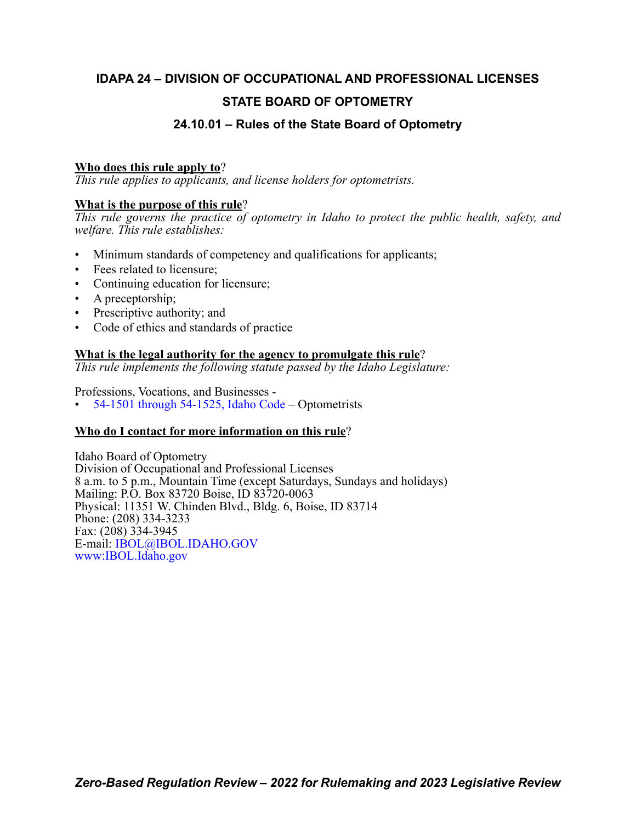# **IDAPA 24 – DIVISION OF OCCUPATIONAL AND PROFESSIONAL LICENSES STATE BOARD OF OPTOMETRY**

# **24.10.01 – Rules of the State Board of Optometry**

# **Who does this rule apply to**?

*This rule applies to applicants, and license holders for optometrists.*

# **What is the purpose of this rule**?

*This rule governs the practice of optometry in Idaho to protect the public health, safety, and welfare. This rule establishes:*

- Minimum standards of competency and qualifications for applicants;
- Fees related to licensure;
- Continuing education for licensure;
- A preceptorship;
- Prescriptive authority; and
- Code of ethics and standards of practice

# **What is the legal authority for the agency to promulgate this rule**?

*This rule implements the following statute passed by the Idaho Legislature:*

Professions, Vocations, and Businesses -

• [54-1501 through 54-1525, Idaho Code](https://legislature.idaho.gov/statutesrules/idstat/Title54/T54CH15/) – Optometrists

# **Who do I contact for more information on this rule**?

Idaho Board of Optometry Division of Occupational and Professional Licenses 8 a.m. to 5 p.m., Mountain Time (except Saturdays, Sundays and holidays) Mailing: P.O. Box 83720 Boise, ID 83720-0063 Physical: 11351 W. Chinden Blvd., Bldg. 6, Boise, ID 83714 Phone: (208) 334-3233 Fax: (208) 334-3945 E-mail: [IBOL@IBOL.IDAHO.GOV](mailto: IBOL@IBOL.IDAHO.GOV) [www:IBOL.Idaho.gov](http://www.ibol.idaho.gov/)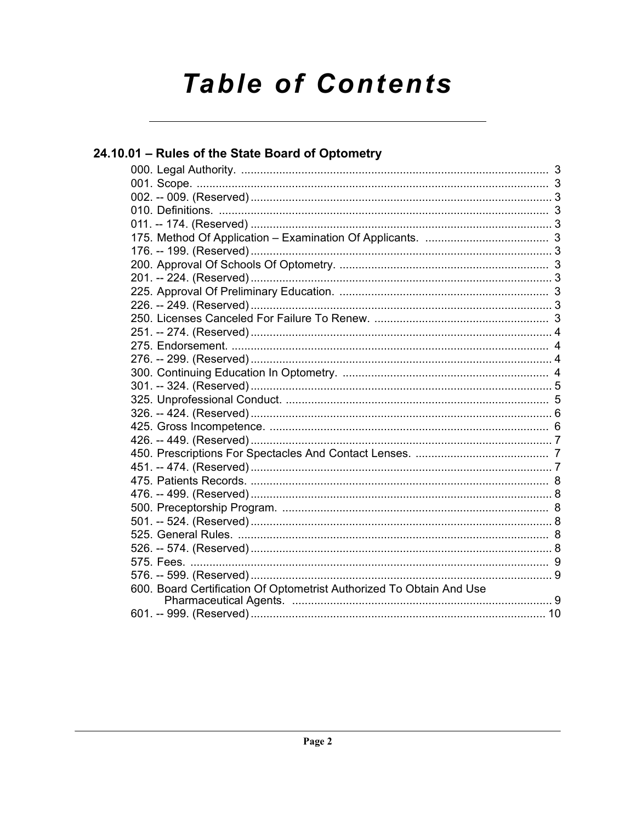# **Table of Contents**

| 24.10.01 - Rules of the State Board of Optometry                     |  |
|----------------------------------------------------------------------|--|
|                                                                      |  |
|                                                                      |  |
|                                                                      |  |
|                                                                      |  |
|                                                                      |  |
|                                                                      |  |
|                                                                      |  |
|                                                                      |  |
|                                                                      |  |
|                                                                      |  |
|                                                                      |  |
|                                                                      |  |
|                                                                      |  |
|                                                                      |  |
|                                                                      |  |
|                                                                      |  |
|                                                                      |  |
|                                                                      |  |
|                                                                      |  |
|                                                                      |  |
|                                                                      |  |
|                                                                      |  |
|                                                                      |  |
|                                                                      |  |
|                                                                      |  |
|                                                                      |  |
|                                                                      |  |
|                                                                      |  |
|                                                                      |  |
|                                                                      |  |
| 600. Board Certification Of Optometrist Authorized To Obtain And Use |  |
|                                                                      |  |
|                                                                      |  |
|                                                                      |  |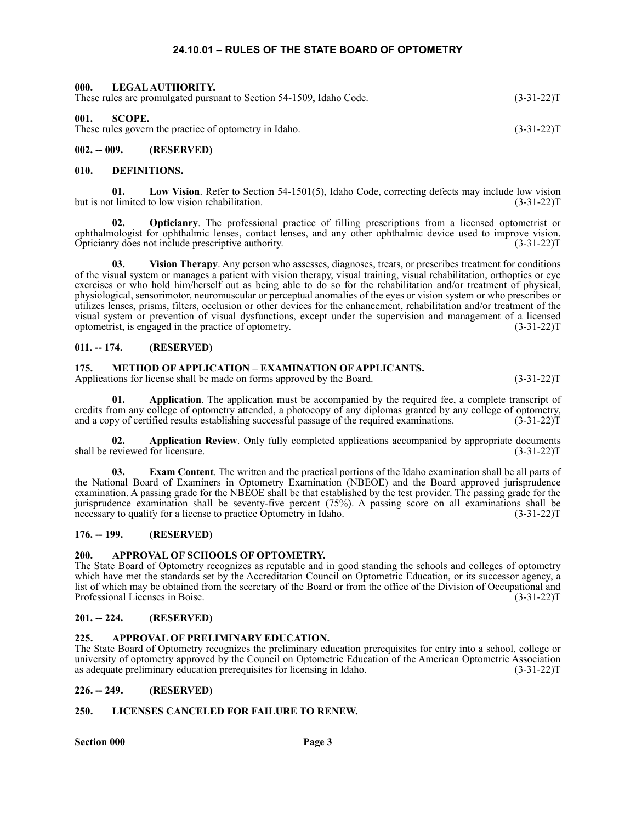#### **24.10.01 – RULES OF THE STATE BOARD OF OPTOMETRY**

<span id="page-2-2"></span><span id="page-2-1"></span><span id="page-2-0"></span>

| 002. -- 009.   | (RESERVED)                                                                               |              |
|----------------|------------------------------------------------------------------------------------------|--------------|
| 001.<br>SCOPE. | These rules govern the practice of optometry in Idaho.                                   | $(3-31-22)T$ |
| 000.           | LEGAL AUTHORITY.<br>These rules are promulgated pursuant to Section 54-1509, Idaho Code. | $(3-31-22)T$ |

# <span id="page-2-4"></span><span id="page-2-3"></span>**010. DEFINITIONS.**

**01. Low Vision**. Refer to Section 54-1501(5), Idaho Code, correcting defects may include low vision but is not limited to low vision rehabilitation. (3-31-22) T

**02. Opticianry**. The professional practice of filling prescriptions from a licensed optometrist or ophthalmologist for ophthalmic lenses, contact lenses, and any other ophthalmic device used to improve vision. Opticianry does not include prescriptive authority. (3-31-22)T

**03. Vision Therapy**. Any person who assesses, diagnoses, treats, or prescribes treatment for conditions of the visual system or manages a patient with vision therapy, visual training, visual rehabilitation, orthoptics or eye exercises or who hold him/herself out as being able to do so for the rehabilitation and/or treatment of physical, physiological, sensorimotor, neuromuscular or perceptual anomalies of the eyes or vision system or who prescribes or utilizes lenses, prisms, filters, occlusion or other devices for the enhancement, rehabilitation and/or treatment of the visual system or prevention of visual dysfunctions, except under the supervision and management of a licensed optometrist, is engaged in the practice of optometry. (3-31-22)T

#### <span id="page-2-5"></span>**011. -- 174. (RESERVED)**

#### <span id="page-2-6"></span>**175. METHOD OF APPLICATION – EXAMINATION OF APPLICANTS.**

Applications for license shall be made on forms approved by the Board. (3-31-22) (3-31-22) T

**01. Application**. The application must be accompanied by the required fee, a complete transcript of credits from any college of optometry attended, a photocopy of any diplomas granted by any college of optometry, and a copy of certified results establishing successful passage of the required examinations. (3-31-22)T

**02. Application Review**. Only fully completed applications accompanied by appropriate documents shall be reviewed for licensure. (3-31-22)T

**03. Exam Content**. The written and the practical portions of the Idaho examination shall be all parts of the National Board of Examiners in Optometry Examination (NBEOE) and the Board approved jurisprudence examination. A passing grade for the NBEOE shall be that established by the test provider. The passing grade for the jurisprudence examination shall be seventy-five percent (75%). A passing score on all examinations shall be necessary to qualify for a license to practice Optometry in Idaho. (3-31-22) T

# <span id="page-2-7"></span>**176. -- 199. (RESERVED)**

# <span id="page-2-8"></span>**200. APPROVAL OF SCHOOLS OF OPTOMETRY.**

The State Board of Optometry recognizes as reputable and in good standing the schools and colleges of optometry which have met the standards set by the Accreditation Council on Optometric Education, or its successor agency, a list of which may be obtained from the secretary of the Board or from the office of the Division of Occupational and Professional Licenses in Boise. (3-31-22)T

# <span id="page-2-9"></span>**201. -- 224. (RESERVED)**

#### <span id="page-2-10"></span>**225. APPROVAL OF PRELIMINARY EDUCATION.**

The State Board of Optometry recognizes the preliminary education prerequisites for entry into a school, college or university of optometry approved by the Council on Optometric Education of the American Optometric Association as adequate preliminary education prerequisites for licensing in Idaho. (3-31-22)T

#### <span id="page-2-11"></span>**226. -- 249. (RESERVED)**

# <span id="page-2-12"></span>**250. LICENSES CANCELED FOR FAILURE TO RENEW.**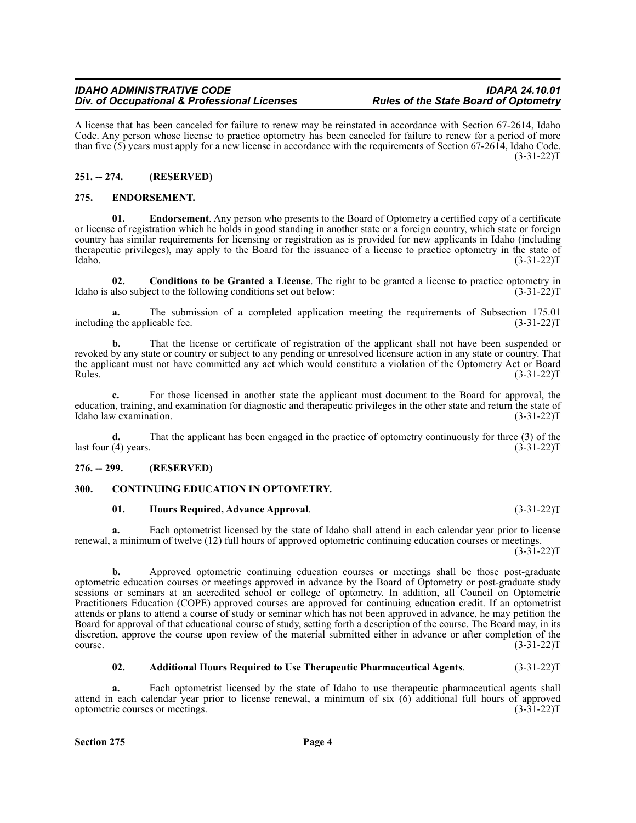A license that has been canceled for failure to renew may be reinstated in accordance with Section 67-2614, Idaho Code. Any person whose license to practice optometry has been canceled for failure to renew for a period of more than five (5) years must apply for a new license in accordance with the requirements of Section 67-2614, Idaho Code. (3-31-22)T

# <span id="page-3-0"></span>**251. -- 274. (RESERVED)**

# <span id="page-3-1"></span>**275. ENDORSEMENT.**

**01. Endorsement**. Any person who presents to the Board of Optometry a certified copy of a certificate or license of registration which he holds in good standing in another state or a foreign country, which state or foreign country has similar requirements for licensing or registration as is provided for new applicants in Idaho (including therapeutic privileges), may apply to the Board for the issuance of a license to practice optometry in the state of Idaho. (3-31-22)T

**02.** Conditions to be Granted a License. The right to be granted a license to practice optometry in also subject to the following conditions set out below: (3-31-22) Idaho is also subject to the following conditions set out below:

**a.** The submission of a completed application meeting the requirements of Subsection 175.01 represents the applicable fee. (3-31-22) including the applicable fee.

**b.** That the license or certificate of registration of the applicant shall not have been suspended or revoked by any state or country or subject to any pending or unresolved licensure action in any state or country. That the applicant must not have committed any act which would constitute a violation of the Optometry Act or Board  $Rules.$  (3-31-22)T

**c.** For those licensed in another state the applicant must document to the Board for approval, the education, training, and examination for diagnostic and therapeutic privileges in the other state and return the state of Idaho law examination. (3-31-22) Idaho law examination.

**d.** That the applicant has been engaged in the practice of optometry continuously for three (3) of the (4) years. (3-31-22) last four  $(4)$  years.

# <span id="page-3-2"></span>**276. -- 299. (RESERVED)**

# <span id="page-3-3"></span>**300. CONTINUING EDUCATION IN OPTOMETRY.**

#### **01. Hours Required, Advance Approval**. (3-31-22)T

**a.** Each optometrist licensed by the state of Idaho shall attend in each calendar year prior to license renewal, a minimum of twelve (12) full hours of approved optometric continuing education courses or meetings.

 $(3-31-22)T$ 

**b.** Approved optometric continuing education courses or meetings shall be those post-graduate optometric education courses or meetings approved in advance by the Board of Optometry or post-graduate study sessions or seminars at an accredited school or college of optometry. In addition, all Council on Optometric Practitioners Education (COPE) approved courses are approved for continuing education credit. If an optometrist attends or plans to attend a course of study or seminar which has not been approved in advance, he may petition the Board for approval of that educational course of study, setting forth a description of the course. The Board may, in its discretion, approve the course upon review of the material submitted either in advance or after completion of the  $\frac{1}{3-31-22}$ T (3-31-22)T

# **02. Additional Hours Required to Use Therapeutic Pharmaceutical Agents**. (3-31-22)T

**a.** Each optometrist licensed by the state of Idaho to use therapeutic pharmaceutical agents shall attend in each calendar year prior to license renewal, a minimum of six (6) additional full hours of approved optometric courses or meetings. (3-31-22) optometric courses or meetings.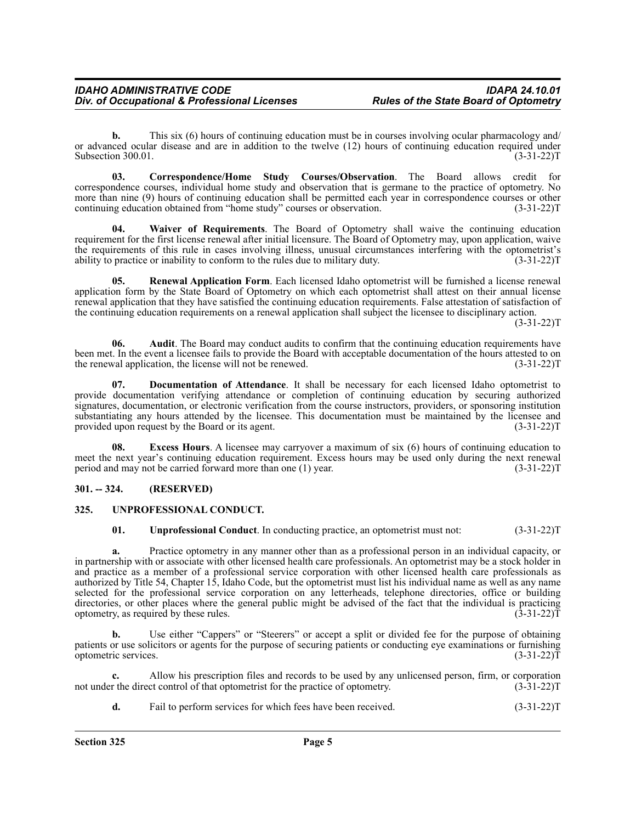**b.** This six (6) hours of continuing education must be in courses involving ocular pharmacology and/ or advanced ocular disease and are in addition to the twelve (12) hours of continuing education required under<br>Subsection 300.01. (3-31-22) Subsection 300.01.

**03. Correspondence/Home Study Courses/Observation**. The Board allows credit for correspondence courses, individual home study and observation that is germane to the practice of optometry. No more than nine (9) hours of continuing education shall be permitted each year in correspondence courses or other continuing education obtained from "home study" courses or observation. (3-31-22)T

**04. Waiver of Requirements**. The Board of Optometry shall waive the continuing education requirement for the first license renewal after initial licensure. The Board of Optometry may, upon application, waive the requirements of this rule in cases involving illness, unusual circumstances interfering with the optometrist's ability to practice or inability to conform to the rules due to military duty. (3-31-22)T

**05. Renewal Application Form**. Each licensed Idaho optometrist will be furnished a license renewal application form by the State Board of Optometry on which each optometrist shall attest on their annual license renewal application that they have satisfied the continuing education requirements. False attestation of satisfaction of the continuing education requirements on a renewal application shall subject the licensee to disciplinary action. (3-31-22)T

**06.** Audit. The Board may conduct audits to confirm that the continuing education requirements have been met. In the event a licensee fails to provide the Board with acceptable documentation of the hours attested to on the renewal application, the license will not be renewed. (3-31-22) T

**07. Documentation of Attendance**. It shall be necessary for each licensed Idaho optometrist to provide documentation verifying attendance or completion of continuing education by securing authorized signatures, documentation, or electronic verification from the course instructors, providers, or sponsoring institution substantiating any hours attended by the licensee. This documentation must be maintained by the licensee and provided upon request by the Board or its agent. (3-31-22)T

**Excess Hours**. A licensee may carryover a maximum of six (6) hours of continuing education to meet the next year's continuing education requirement. Excess hours may be used only during the next renewal period and may not be carried forward more than one (1) year. (3-31-22) period and may not be carried forward more than one  $(1)$  year.

# <span id="page-4-0"></span>**301. -- 324. (RESERVED)**

# <span id="page-4-1"></span>**325. UNPROFESSIONAL CONDUCT.**

**01. Unprofessional Conduct**. In conducting practice, an optometrist must not:  $(3-31-22)T$ 

**a.** Practice optometry in any manner other than as a professional person in an individual capacity, or in partnership with or associate with other licensed health care professionals. An optometrist may be a stock holder in and practice as a member of a professional service corporation with other licensed health care professionals as authorized by Title 54, Chapter 15, Idaho Code, but the optometrist must list his individual name as well as any name selected for the professional service corporation on any letterheads, telephone directories, office or building directories, or other places where the general public might be advised of the fact that the individual is practicing optometry, as required by these rules. (3-31-22)T

Use either "Cappers" or "Steerers" or accept a split or divided fee for the purpose of obtaining patients or use solicitors or agents for the purpose of securing patients or conducting eye examinations or furnishing optometric services. (3-31-22)T

Allow his prescription files and records to be used by any unlicensed person, firm, or corporation et control of that optometrist for the practice of optometry. (3-31-22)<sup>T</sup> not under the direct control of that optometrist for the practice of optometry.

| Fail to perform services for which fees have been received.<br>u. | $(3-31-22)T$ |
|-------------------------------------------------------------------|--------------|
|-------------------------------------------------------------------|--------------|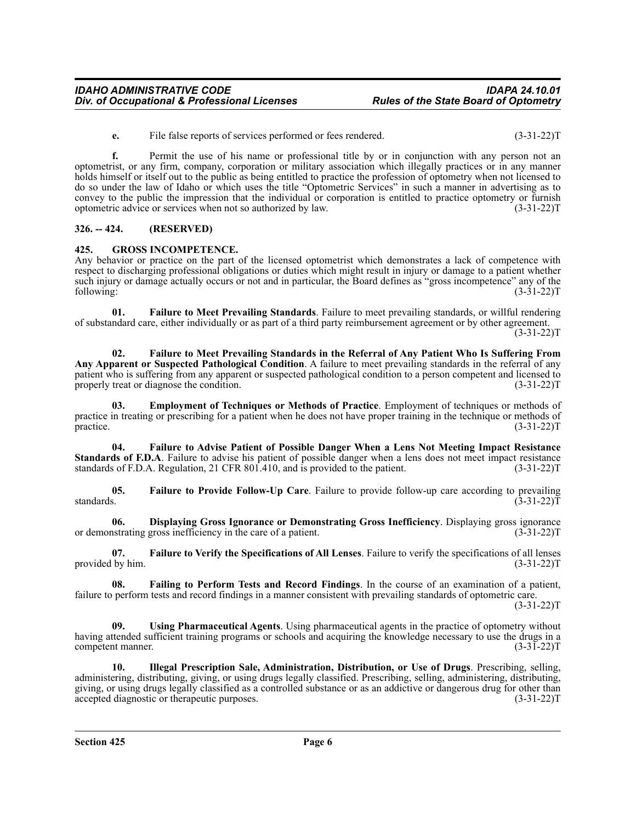**e.** File false reports of services performed or fees rendered. (3-31-22)T

**f.** Permit the use of his name or professional title by or in conjunction with any person not an optometrist, or any firm, company, corporation or military association which illegally practices or in any manner holds himself or itself out to the public as being entitled to practice the profession of optometry when not licensed to do so under the law of Idaho or which uses the title "Optometric Services" in such a manner in advertising as to convey to the public the impression that the individual or corporation is entitled to practice optometry or furnish optometric advice or services when not so authorized by law. (3-31-22)T

# <span id="page-5-0"></span>**326. -- 424. (RESERVED)**

#### <span id="page-5-1"></span>**425. GROSS INCOMPETENCE.**

Any behavior or practice on the part of the licensed optometrist which demonstrates a lack of competence with respect to discharging professional obligations or duties which might result in injury or damage to a patient whether such injury or damage actually occurs or not and in particular, the Board defines as "gross incompetence" any of the following: (3-31-22)T following: (3-31-22)T

**01. Failure to Meet Prevailing Standards**. Failure to meet prevailing standards, or willful rendering of substandard care, either individually or as part of a third party reimbursement agreement or by other agreement.  $(3-31-22)T$ 

**02. Failure to Meet Prevailing Standards in the Referral of Any Patient Who Is Suffering From Any Apparent or Suspected Pathological Condition**. A failure to meet prevailing standards in the referral of any patient who is suffering from any apparent or suspected pathological condition to a person competent and licensed to properly treat or diagnose the condition. (3-31-22) T

**03. Employment of Techniques or Methods of Practice**. Employment of techniques or methods of practice in treating or prescribing for a patient when he does not have proper training in the technique or methods of practice.  $(3-31-22)T$ 

**04. Failure to Advise Patient of Possible Danger When a Lens Not Meeting Impact Resistance Standards of F.D.A**. Failure to advise his patient of possible danger when a lens does not meet impact resistance standards of F.D.A. Regulation, 21 CFR 801.410, and is provided to the patient. (3-31-22)T

**05. Failure to Provide Follow-Up Care**. Failure to provide follow-up care according to prevailing standards.  $(3-31-22)T$ 

**06. Displaying Gross Ignorance or Demonstrating Gross Inefficiency**. Displaying gross ignorance or demonstrating gross inefficiency in the care of a patient. (3-31-22) T

**07. Failure to Verify the Specifications of All Lenses**. Failure to verify the specifications of all lenses provided by him. (3-31-22)T

**08. Failing to Perform Tests and Record Findings**. In the course of an examination of a patient, failure to perform tests and record findings in a manner consistent with prevailing standards of optometric care.  $(3-31-22)T$ 

**09. Using Pharmaceutical Agents**. Using pharmaceutical agents in the practice of optometry without having attended sufficient training programs or schools and acquiring the knowledge necessary to use the drugs in a competent manner. (3-31-22)T

**10. Illegal Prescription Sale, Administration, Distribution, or Use of Drugs**. Prescribing, selling, administering, distributing, giving, or using drugs legally classified. Prescribing, selling, administering, distributing, giving, or using drugs legally classified as a controlled substance or as an addictive or dangerous drug for other than accepted diagnostic or therapeutic purposes. (3-31-22)T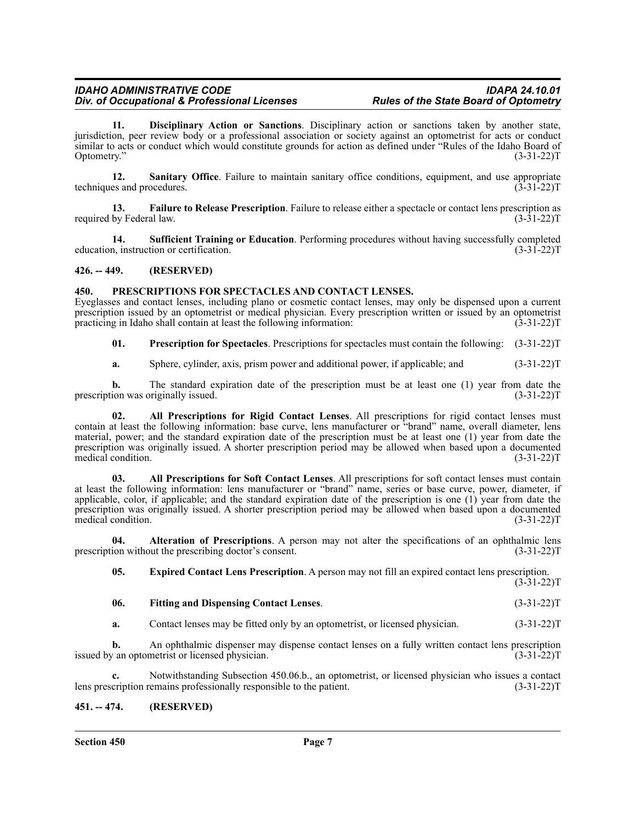#### *IDAHO ADMINISTRATIVE CODE IDAPA 24.10.01* **Div. of Occupational & Professional Licenses**

**11. Disciplinary Action or Sanctions**. Disciplinary action or sanctions taken by another state, jurisdiction, peer review body or a professional association or society against an optometrist for acts or conduct similar to acts or conduct which would constitute grounds for action as defined under "Rules of the Idaho Board of Optometry." (3-31-22) Optometry." (3-31-22)T

**12.** Sanitary Office. Failure to maintain sanitary office conditions, equipment, and use appropriate es and procedures. (3-31-22)T techniques and procedures.

**13. Failure to Release Prescription**. Failure to release either a spectacle or contact lens prescription as required by Federal law.  $(3-31-22)T$ 

**14. Sufficient Training or Education**. Performing procedures without having successfully completed<br>n, instruction or certification. (3-31-22)T education, instruction or certification.

<span id="page-6-0"></span>**426. -- 449. (RESERVED)**

# <span id="page-6-1"></span>**450. PRESCRIPTIONS FOR SPECTACLES AND CONTACT LENSES.**

Eyeglasses and contact lenses, including plano or cosmetic contact lenses, may only be dispensed upon a current prescription issued by an optometrist or medical physician. Every prescription written or issued by an optometrist practicing in Idaho shall contain at least the following information: (3-31-22)T

**01. Prescription for Spectacles**. Prescriptions for spectacles must contain the following: (3-31-22)T

**a.** Sphere, cylinder, axis, prism power and additional power, if applicable; and  $(3-31-22)$ T

**b.** The standard expiration date of the prescription must be at least one (1) year from date the prescription was originally issued. (3-31-22)T

**02. All Prescriptions for Rigid Contact Lenses**. All prescriptions for rigid contact lenses must contain at least the following information: base curve, lens manufacturer or "brand" name, overall diameter, lens material, power; and the standard expiration date of the prescription must be at least one (1) year from date the prescription was originally issued. A shorter prescription period may be allowed when based upon a documented medical condition. (3-31-22)T

**03. All Prescriptions for Soft Contact Lenses**. All prescriptions for soft contact lenses must contain at least the following information: lens manufacturer or "brand" name, series or base curve, power, diameter, if applicable, color, if applicable; and the standard expiration date of the prescription is one (1) year from date the prescription was originally issued. A shorter prescription period may be allowed when based upon a documented medical condition. (3-31-22)T

**04. Alteration of Prescriptions**. A person may not alter the specifications of an ophthalmic lens prescription without the prescribing doctor's consent. (3-31-22)T

**05. Expired Contact Lens Prescription**. A person may not fill an expired contact lens prescription.  $(3-31-22)T$ 

# **06. Fitting and Dispensing Contact Lenses**. (3-31-22)T

**a.** Contact lenses may be fitted only by an optometrist, or licensed physician. (3-31-22)T

**b.** An ophthalmic dispenser may dispense contact lenses on a fully written contact lens prescription issued by an optometrist or licensed physician. (3-31-22)T

Notwithstanding Subsection 450.06.b., an optometrist, or licensed physician who issues a contact remains professionally responsible to the patient. (3-31-22)<sup>T</sup> lens prescription remains professionally responsible to the patient.

# <span id="page-6-2"></span>**451. -- 474. (RESERVED)**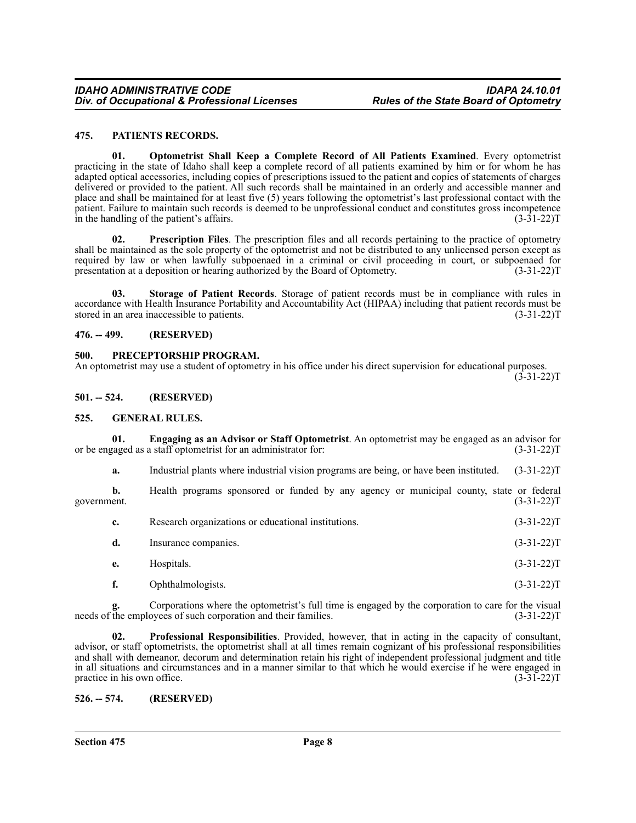#### <span id="page-7-0"></span>**475. PATIENTS RECORDS.**

**01. Optometrist Shall Keep a Complete Record of All Patients Examined**. Every optometrist practicing in the state of Idaho shall keep a complete record of all patients examined by him or for whom he has adapted optical accessories, including copies of prescriptions issued to the patient and copies of statements of charges delivered or provided to the patient. All such records shall be maintained in an orderly and accessible manner and place and shall be maintained for at least five (5) years following the optometrist's last professional contact with the patient. Failure to maintain such records is deemed to be unprofessional conduct and constitutes gross incompetence in the handling of the patient's affairs.  $(3-31-22)T$ 

**02. Prescription Files**. The prescription files and all records pertaining to the practice of optometry shall be maintained as the sole property of the optometrist and not be distributed to any unlicensed person except as required by law or when lawfully subpoenaed in a criminal or civil proceeding in court, or subpoenaed for presentation at a deposition or hearing authorized by the Board of Optometry. (3-31-22)T

**03. Storage of Patient Records**. Storage of patient records must be in compliance with rules in accordance with Health Insurance Portability and Accountability Act (HIPAA) including that patient records must be stored in an area inaccessible to patients. (3-31-22)T

#### <span id="page-7-1"></span>**476. -- 499. (RESERVED)**

# <span id="page-7-2"></span>**500. PRECEPTORSHIP PROGRAM.**

An optometrist may use a student of optometry in his office under his direct supervision for educational purposes.  $(3-31-22)T$ 

<span id="page-7-3"></span>**501. -- 524. (RESERVED)**

#### <span id="page-7-4"></span>**525. GENERAL RULES.**

**01. Engaging as an Advisor or Staff Optometrist**. An optometrist may be engaged as an advisor for or be engaged as a staff optometrist for an administrator for: (3-31-22)T

**a.** Industrial plants where industrial vision programs are being, or have been instituted. (3-31-22)T

**b.** Health programs sponsored or funded by any agency or municipal county, state or federal government. (3-31-22)T

| Research organizations or educational institutions. | $(3-31-22)T$ |
|-----------------------------------------------------|--------------|
| Insurance companies.                                | $(3-31-22)T$ |

- **e.** Hospitals. (3-31-22)T
- **f.** Ophthalmologists. (3-31-22)T

Corporations where the optometrist's full time is engaged by the corporation to care for the visual oyees of such corporation and their families. (3-31-22)<sup>T</sup> needs of the employees of such corporation and their families.

**02. Professional Responsibilities**. Provided, however, that in acting in the capacity of consultant, advisor, or staff optometrists, the optometrist shall at all times remain cognizant of his professional responsibilities and shall with demeanor, decorum and determination retain his right of independent professional judgment and title in all situations and circumstances and in a manner similar to that which he would exercise if he were engaged in practice in his own office. (3-31-22)T

<span id="page-7-5"></span>**526. -- 574. (RESERVED)**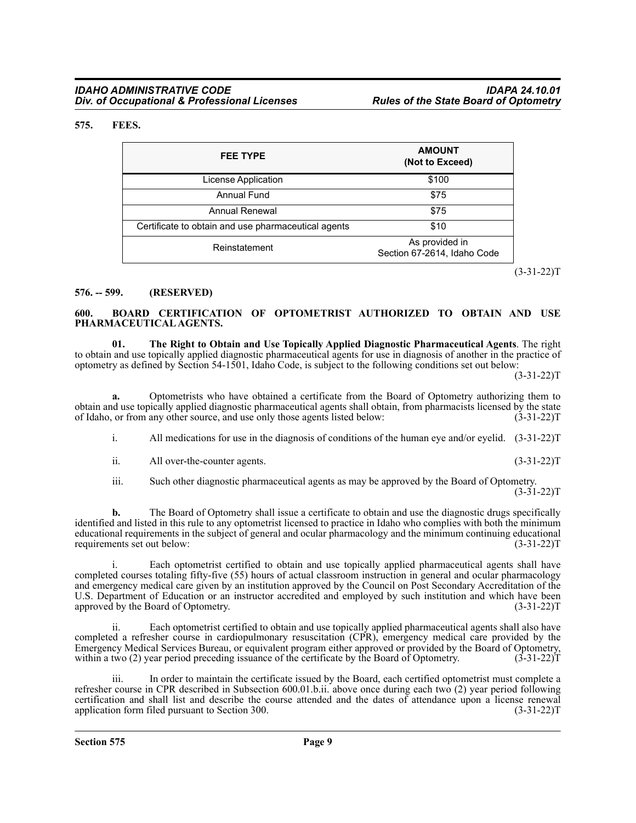#### <span id="page-8-0"></span>**575. FEES.**

| <b>FEE TYPE</b>                                     | <b>AMOUNT</b><br>(Not to Exceed)              |
|-----------------------------------------------------|-----------------------------------------------|
| License Application                                 | \$100                                         |
| Annual Fund                                         | \$75                                          |
| Annual Renewal                                      | \$75                                          |
| Certificate to obtain and use pharmaceutical agents | \$10                                          |
| Reinstatement                                       | As provided in<br>Section 67-2614, Idaho Code |

 $(3-31-22)T$ 

#### <span id="page-8-1"></span>**576. -- 599. (RESERVED)**

#### <span id="page-8-2"></span>**600. BOARD CERTIFICATION OF OPTOMETRIST AUTHORIZED TO OBTAIN AND USE PHARMACEUTICAL AGENTS.**

**01. The Right to Obtain and Use Topically Applied Diagnostic Pharmaceutical Agents**. The right to obtain and use topically applied diagnostic pharmaceutical agents for use in diagnosis of another in the practice of optometry as defined by Section 54-1501, Idaho Code, is subject to the following conditions set out below:

 $(3-31-22)T$ 

**a.** Optometrists who have obtained a certificate from the Board of Optometry authorizing them to obtain and use topically applied diagnostic pharmaceutical agents shall obtain, from pharmacists licensed by the state of Idaho, or from any other source, and use only those agents listed below: (3-31-22)T

i. All medications for use in the diagnosis of conditions of the human eye and/or eyelid. (3-31-22)T

ii. All over-the-counter agents. (3-31-22)T

iii. Such other diagnostic pharmaceutical agents as may be approved by the Board of Optometry.  $(3-31-22)T$ 

**b.** The Board of Optometry shall issue a certificate to obtain and use the diagnostic drugs specifically identified and listed in this rule to any optometrist licensed to practice in Idaho who complies with both the minimum educational requirements in the subject of general and ocular pharmacology and the minimum continuing educational requirements set out below: (3-31-22) requirements set out below:

Each optometrist certified to obtain and use topically applied pharmaceutical agents shall have completed courses totaling fifty-five (55) hours of actual classroom instruction in general and ocular pharmacology and emergency medical care given by an institution approved by the Council on Post Secondary Accreditation of the U.S. Department of Education or an instructor accredited and employed by such institution and which have been<br>approved by the Board of Optometry. (3-31-22) approved by the Board of Optometry.

ii. Each optometrist certified to obtain and use topically applied pharmaceutical agents shall also have completed a refresher course in cardiopulmonary resuscitation (CPR), emergency medical care provided by the Emergency Medical Services Bureau, or equivalent program either approved or provided by the Board of Optometry, within a two (2) year period preceding issuance of the certificate by the Board of Optometry. (3-31-22)T within a two  $(2)$  year period preceding issuance of the certificate by the Board of Optometry.

iii. In order to maintain the certificate issued by the Board, each certified optometrist must complete a refresher course in CPR described in Subsection 600.01.b.ii. above once during each two (2) year period following certification and shall list and describe the course attended and the dates of attendance upon a license renewal application form filed pursuant to Section 300. (3-31-22)T